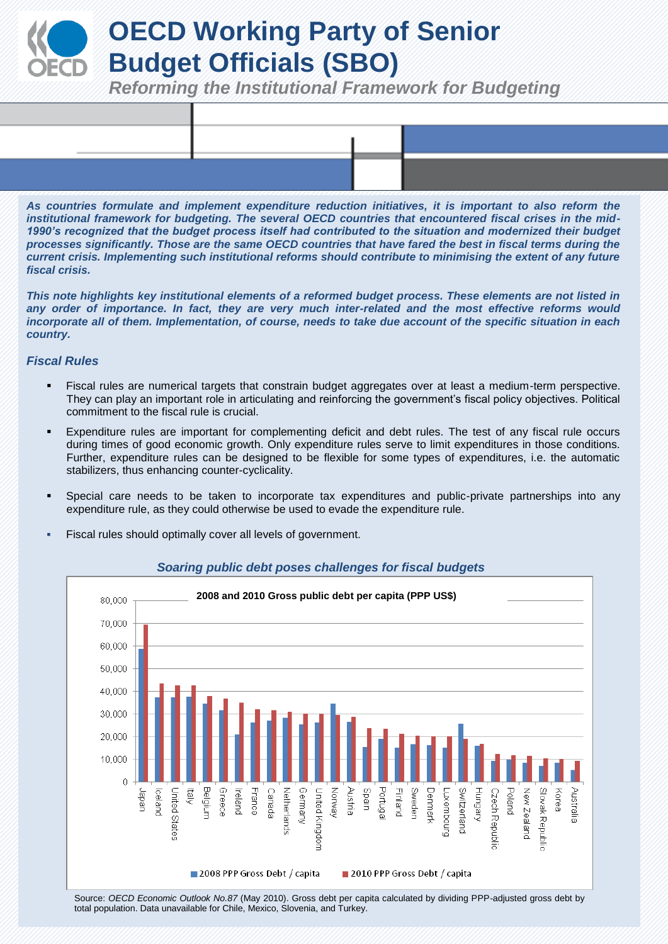# **OECD Working Party of Senior Budget Officials (SBO)**

*Reforming the Institutional Framework for Budgeting*

*As countries formulate and implement expenditure reduction initiatives, it is important to also reform the institutional framework for budgeting. The several OECD countries that encountered fiscal crises in the mid-*1990's recognized that the budget process itself had contributed to the situation and modernized their budget *processes significantly. Those are the same OECD countries that have fared the best in fiscal terms during the current crisis. Implementing such institutional reforms should contribute to minimising the extent of any future fiscal crisis.*

*This note highlights key institutional elements of a reformed budget process. These elements are not listed in*  any order of importance. In fact, they are very much inter-related and the most effective reforms would *incorporate all of them. Implementation, of course, needs to take due account of the specific situation in each country.*

# *Fiscal Rules*

- Fiscal rules are numerical targets that constrain budget aggregates over at least a medium-term perspective. They can play an important role in articulating and reinforcing the government's fiscal policy objectives. Political commitment to the fiscal rule is crucial.
- Expenditure rules are important for complementing deficit and debt rules. The test of any fiscal rule occurs during times of good economic growth. Only expenditure rules serve to limit expenditures in those conditions. Further, expenditure rules can be designed to be flexible for some types of expenditures, i.e. the automatic stabilizers, thus enhancing counter-cyclicality.
- Special care needs to be taken to incorporate tax expenditures and public-private partnerships into any expenditure rule, as they could otherwise be used to evade the expenditure rule.
- Fiscal rules should optimally cover all levels of government.



#### *Soaring public debt poses challenges for fiscal budgets*

Source: *OECD Economic Outlook No.87* (May 2010). Gross debt per capita calculated by dividing PPP-adjusted gross debt by total population. Data unavailable for Chile, Mexico, Slovenia, and Turkey.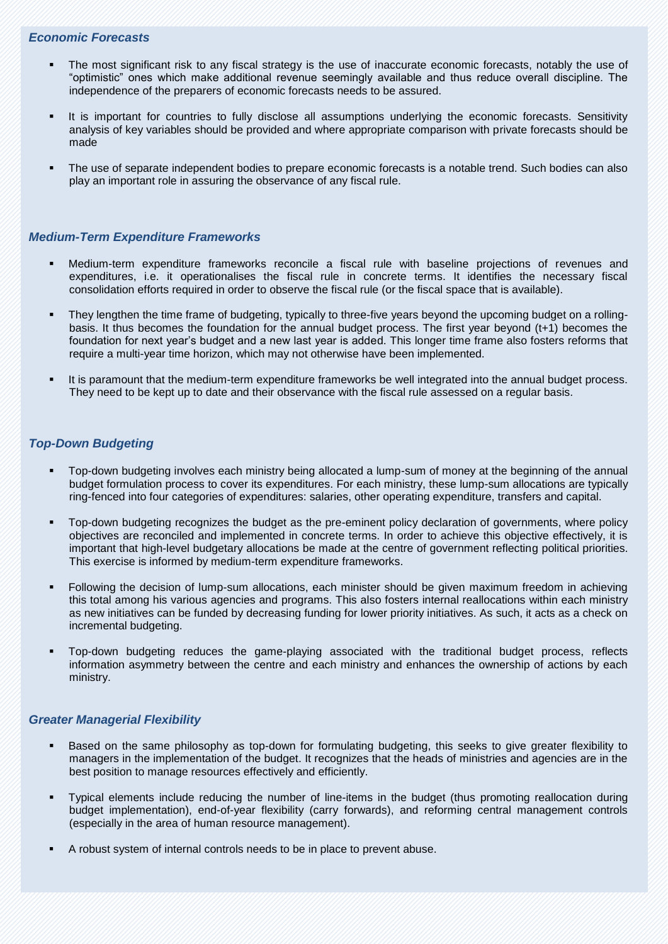# *Economic Forecasts*

- The most significant risk to any fiscal strategy is the use of inaccurate economic forecasts, notably the use of "optimistic" ones which make additional revenue seemingly available and thus reduce overall discipline. The independence of the preparers of economic forecasts needs to be assured.
- It is important for countries to fully disclose all assumptions underlying the economic forecasts. Sensitivity analysis of key variables should be provided and where appropriate comparison with private forecasts should be made
- The use of separate independent bodies to prepare economic forecasts is a notable trend. Such bodies can also play an important role in assuring the observance of any fiscal rule.

## *Medium-Term Expenditure Frameworks*

- Medium-term expenditure frameworks reconcile a fiscal rule with baseline projections of revenues and expenditures, i.e. it operationalises the fiscal rule in concrete terms. It identifies the necessary fiscal consolidation efforts required in order to observe the fiscal rule (or the fiscal space that is available).
- They lengthen the time frame of budgeting, typically to three-five years beyond the upcoming budget on a rollingbasis. It thus becomes the foundation for the annual budget process. The first year beyond (t+1) becomes the foundation for next year's budget and a new last year is added. This longer time frame also fosters reforms that require a multi-year time horizon, which may not otherwise have been implemented.
- It is paramount that the medium-term expenditure frameworks be well integrated into the annual budget process. They need to be kept up to date and their observance with the fiscal rule assessed on a regular basis.

## *Top-Down Budgeting*

- Top-down budgeting involves each ministry being allocated a lump-sum of money at the beginning of the annual budget formulation process to cover its expenditures. For each ministry, these lump-sum allocations are typically ring-fenced into four categories of expenditures: salaries, other operating expenditure, transfers and capital.
- Top-down budgeting recognizes the budget as the pre-eminent policy declaration of governments, where policy objectives are reconciled and implemented in concrete terms. In order to achieve this objective effectively, it is important that high-level budgetary allocations be made at the centre of government reflecting political priorities. This exercise is informed by medium-term expenditure frameworks.
- Following the decision of lump-sum allocations, each minister should be given maximum freedom in achieving this total among his various agencies and programs. This also fosters internal reallocations within each ministry as new initiatives can be funded by decreasing funding for lower priority initiatives. As such, it acts as a check on incremental budgeting.
- Top-down budgeting reduces the game-playing associated with the traditional budget process, reflects information asymmetry between the centre and each ministry and enhances the ownership of actions by each ministry.

#### *Greater Managerial Flexibility*

- Based on the same philosophy as top-down for formulating budgeting, this seeks to give greater flexibility to managers in the implementation of the budget. It recognizes that the heads of ministries and agencies are in the best position to manage resources effectively and efficiently.
- Typical elements include reducing the number of line-items in the budget (thus promoting reallocation during budget implementation), end-of-year flexibility (carry forwards), and reforming central management controls (especially in the area of human resource management).
- A robust system of internal controls needs to be in place to prevent abuse.